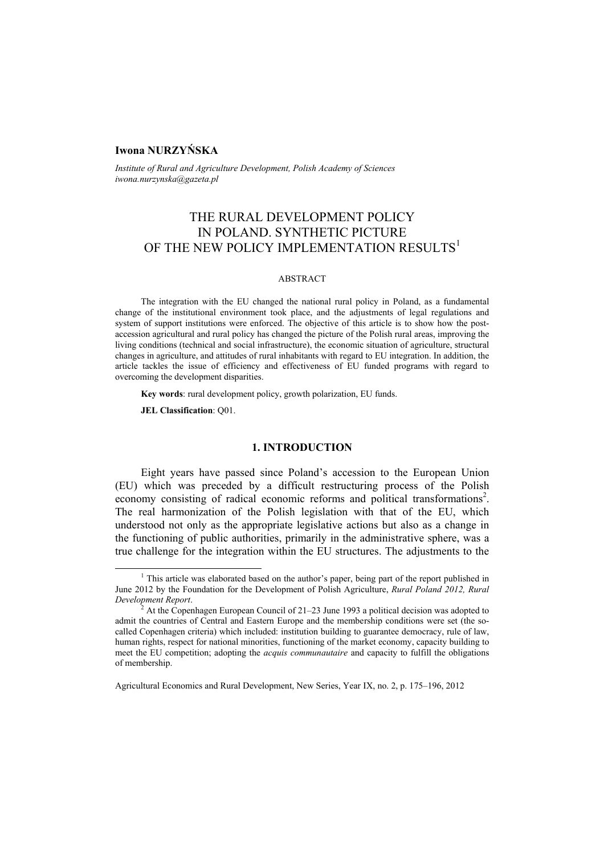# **Iwona NURZYŃSKA**

*Institute of Rural and Agriculture Development, Polish Academy of Sciences iwona.nurzynska@gazeta.pl* 

# THE RURAL DEVELOPMENT POLICY IN POLAND. SYNTHETIC PICTURE OF THE NEW POLICY IMPLEMENTATION RESULTS<sup>1</sup>

#### ABSTRACT

The integration with the EU changed the national rural policy in Poland, as a fundamental change of the institutional environment took place, and the adjustments of legal regulations and system of support institutions were enforced. The objective of this article is to show how the postaccession agricultural and rural policy has changed the picture of the Polish rural areas, improving the living conditions (technical and social infrastructure), the economic situation of agriculture, structural changes in agriculture, and attitudes of rural inhabitants with regard to EU integration. In addition, the article tackles the issue of efficiency and effectiveness of EU funded programs with regard to overcoming the development disparities.

**Key words**: rural development policy, growth polarization, EU funds.

**JEL Classification**: Q01.

### **1. INTRODUCTION**

Eight years have passed since Poland's accession to the European Union (EU) which was preceded by a difficult restructuring process of the Polish economy consisting of radical economic reforms and political transformations<sup>2</sup>. The real harmonization of the Polish legislation with that of the EU, which understood not only as the appropriate legislative actions but also as a change in the functioning of public authorities, primarily in the administrative sphere, was a true challenge for the integration within the EU structures. The adjustments to the

<sup>&</sup>lt;sup>1</sup> <sup>1</sup> This article was elaborated based on the author's paper, being part of the report published in June 2012 by the Foundation for the Development of Polish Agriculture, *Rural Poland 2012, Rural Development Report*. 2

At the Copenhagen European Council of 21–23 June 1993 a political decision was adopted to admit the countries of Central and Eastern Europe and the membership conditions were set (the socalled Copenhagen criteria) which included: institution building to guarantee democracy, rule of law, human rights, respect for national minorities, functioning of the market economy, capacity building to meet the EU competition; adopting the *acquis communautaire* and capacity to fulfill the obligations of membership.

Agricultural Economics and Rural Development, New Series, Year IX, no. 2, p. 175–196, 2012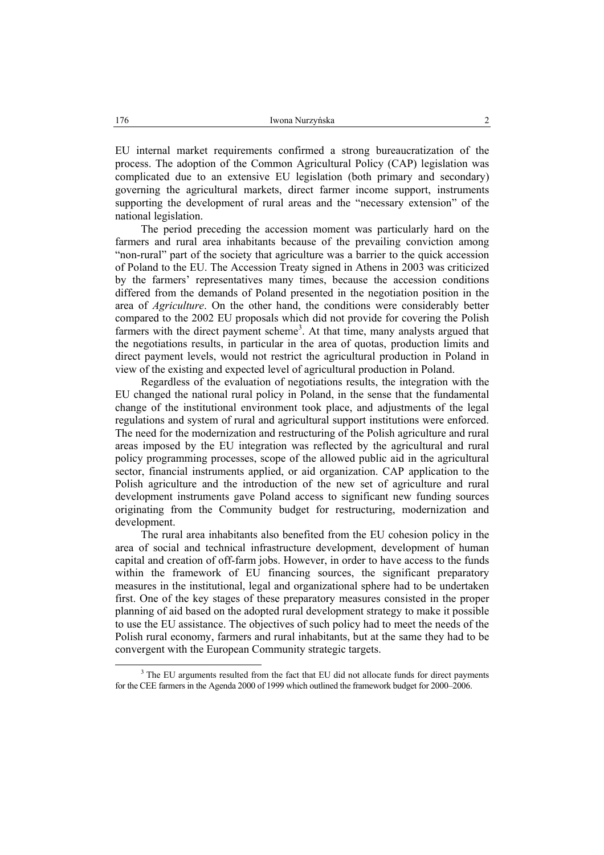EU internal market requirements confirmed a strong bureaucratization of the process. The adoption of the Common Agricultural Policy (CAP) legislation was complicated due to an extensive EU legislation (both primary and secondary) governing the agricultural markets, direct farmer income support, instruments supporting the development of rural areas and the "necessary extension" of the national legislation.

The period preceding the accession moment was particularly hard on the farmers and rural area inhabitants because of the prevailing conviction among "non-rural" part of the society that agriculture was a barrier to the quick accession of Poland to the EU. The Accession Treaty signed in Athens in 2003 was criticized by the farmers' representatives many times, because the accession conditions differed from the demands of Poland presented in the negotiation position in the area of *Agriculture*. On the other hand, the conditions were considerably better compared to the 2002 EU proposals which did not provide for covering the Polish farmers with the direct payment scheme<sup>3</sup>. At that time, many analysts argued that the negotiations results, in particular in the area of quotas, production limits and direct payment levels, would not restrict the agricultural production in Poland in view of the existing and expected level of agricultural production in Poland.

Regardless of the evaluation of negotiations results, the integration with the EU changed the national rural policy in Poland, in the sense that the fundamental change of the institutional environment took place, and adjustments of the legal regulations and system of rural and agricultural support institutions were enforced. The need for the modernization and restructuring of the Polish agriculture and rural areas imposed by the EU integration was reflected by the agricultural and rural policy programming processes, scope of the allowed public aid in the agricultural sector, financial instruments applied, or aid organization. CAP application to the Polish agriculture and the introduction of the new set of agriculture and rural development instruments gave Poland access to significant new funding sources originating from the Community budget for restructuring, modernization and development.

The rural area inhabitants also benefited from the EU cohesion policy in the area of social and technical infrastructure development, development of human capital and creation of off-farm jobs. However, in order to have access to the funds within the framework of EU financing sources, the significant preparatory measures in the institutional, legal and organizational sphere had to be undertaken first. One of the key stages of these preparatory measures consisted in the proper planning of aid based on the adopted rural development strategy to make it possible to use the EU assistance. The objectives of such policy had to meet the needs of the Polish rural economy, farmers and rural inhabitants, but at the same they had to be convergent with the European Community strategic targets.

 <sup>3</sup> <sup>3</sup> The EU arguments resulted from the fact that EU did not allocate funds for direct payments for the CEE farmers in the Agenda 2000 of 1999 which outlined the framework budget for 2000–2006.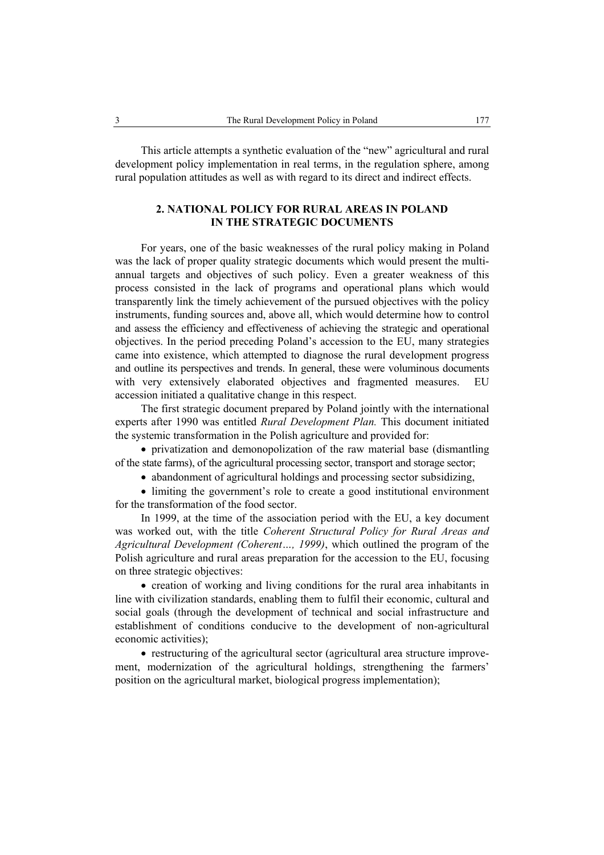This article attempts a synthetic evaluation of the "new" agricultural and rural development policy implementation in real terms, in the regulation sphere, among rural population attitudes as well as with regard to its direct and indirect effects.

# **2. NATIONAL POLICY FOR RURAL AREAS IN POLAND IN THE STRATEGIC DOCUMENTS**

For years, one of the basic weaknesses of the rural policy making in Poland was the lack of proper quality strategic documents which would present the multiannual targets and objectives of such policy. Even a greater weakness of this process consisted in the lack of programs and operational plans which would transparently link the timely achievement of the pursued objectives with the policy instruments, funding sources and, above all, which would determine how to control and assess the efficiency and effectiveness of achieving the strategic and operational objectives. In the period preceding Poland's accession to the EU, many strategies came into existence, which attempted to diagnose the rural development progress and outline its perspectives and trends. In general, these were voluminous documents with very extensively elaborated objectives and fragmented measures. EU accession initiated a qualitative change in this respect.

The first strategic document prepared by Poland jointly with the international experts after 1990 was entitled *Rural Development Plan.* This document initiated the systemic transformation in the Polish agriculture and provided for:

• privatization and demonopolization of the raw material base (dismantling of the state farms), of the agricultural processing sector, transport and storage sector;

• abandonment of agricultural holdings and processing sector subsidizing,

• limiting the government's role to create a good institutional environment for the transformation of the food sector.

In 1999, at the time of the association period with the EU, a key document was worked out, with the title *Coherent Structural Policy for Rural Areas and Agricultural Development (Coherent…, 1999)*, which outlined the program of the Polish agriculture and rural areas preparation for the accession to the EU, focusing on three strategic objectives:

• creation of working and living conditions for the rural area inhabitants in line with civilization standards, enabling them to fulfil their economic, cultural and social goals (through the development of technical and social infrastructure and establishment of conditions conducive to the development of non-agricultural economic activities);

• restructuring of the agricultural sector (agricultural area structure improvement, modernization of the agricultural holdings, strengthening the farmers' position on the agricultural market, biological progress implementation);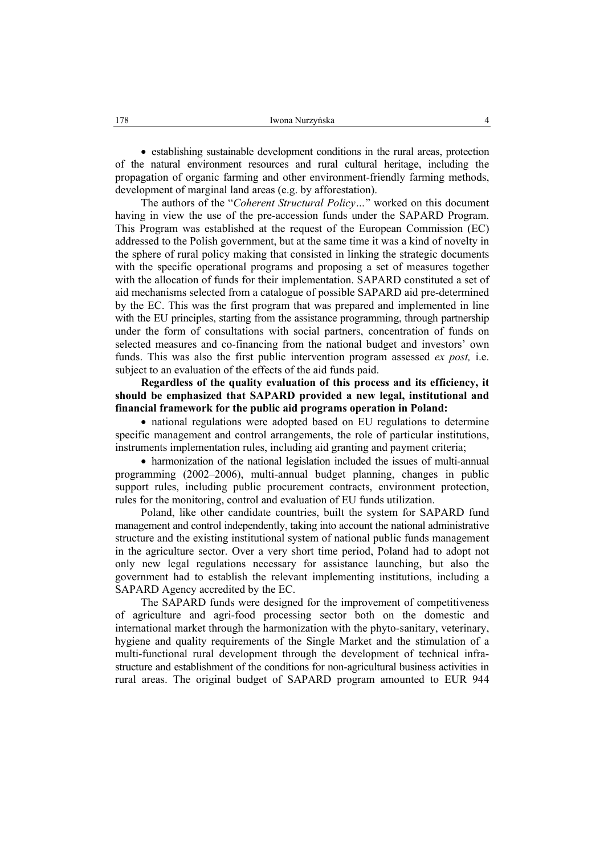• establishing sustainable development conditions in the rural areas, protection of the natural environment resources and rural cultural heritage, including the propagation of organic farming and other environment-friendly farming methods, development of marginal land areas (e.g. by afforestation).

The authors of the "*Coherent Structural Policy…*" worked on this document having in view the use of the pre-accession funds under the SAPARD Program. This Program was established at the request of the European Commission (EC) addressed to the Polish government, but at the same time it was a kind of novelty in the sphere of rural policy making that consisted in linking the strategic documents with the specific operational programs and proposing a set of measures together with the allocation of funds for their implementation. SAPARD constituted a set of aid mechanisms selected from a catalogue of possible SAPARD aid pre-determined by the EC. This was the first program that was prepared and implemented in line with the EU principles, starting from the assistance programming, through partnership under the form of consultations with social partners, concentration of funds on selected measures and co-financing from the national budget and investors' own funds. This was also the first public intervention program assessed *ex post,* i.e. subject to an evaluation of the effects of the aid funds paid.

**Regardless of the quality evaluation of this process and its efficiency, it should be emphasized that SAPARD provided a new legal, institutional and financial framework for the public aid programs operation in Poland:** 

• national regulations were adopted based on EU regulations to determine specific management and control arrangements, the role of particular institutions, instruments implementation rules, including aid granting and payment criteria;

• harmonization of the national legislation included the issues of multi-annual programming (2002–2006), multi-annual budget planning, changes in public support rules, including public procurement contracts, environment protection, rules for the monitoring, control and evaluation of EU funds utilization.

Poland, like other candidate countries, built the system for SAPARD fund management and control independently, taking into account the national administrative structure and the existing institutional system of national public funds management in the agriculture sector. Over a very short time period, Poland had to adopt not only new legal regulations necessary for assistance launching, but also the government had to establish the relevant implementing institutions, including a SAPARD Agency accredited by the EC.

The SAPARD funds were designed for the improvement of competitiveness of agriculture and agri-food processing sector both on the domestic and international market through the harmonization with the phyto-sanitary, veterinary, hygiene and quality requirements of the Single Market and the stimulation of a multi-functional rural development through the development of technical infrastructure and establishment of the conditions for non-agricultural business activities in rural areas. The original budget of SAPARD program amounted to EUR 944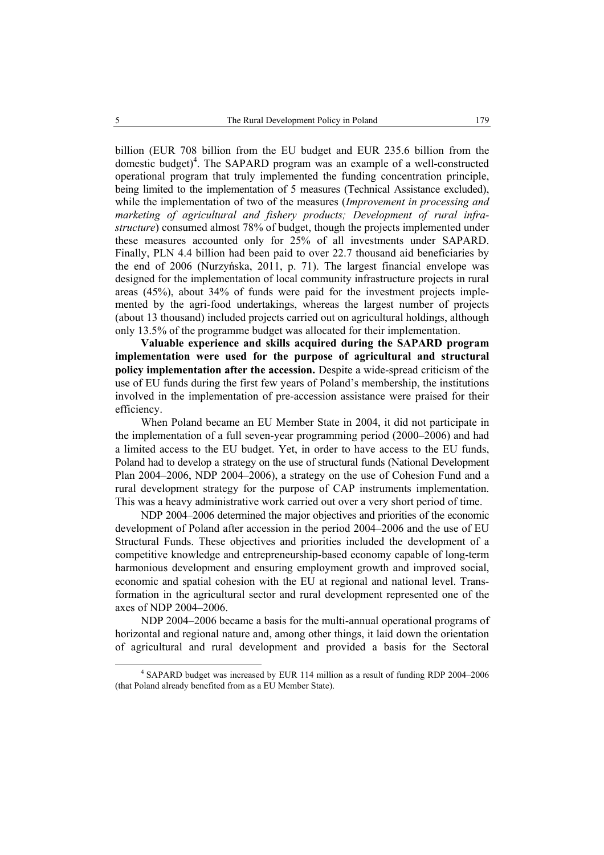billion (EUR 708 billion from the EU budget and EUR 235.6 billion from the domestic budget)<sup>4</sup>. The SAPARD program was an example of a well-constructed operational program that truly implemented the funding concentration principle, being limited to the implementation of 5 measures (Technical Assistance excluded), while the implementation of two of the measures (*Improvement in processing and marketing of agricultural and fishery products; Development of rural infrastructure*) consumed almost 78% of budget, though the projects implemented under these measures accounted only for 25% of all investments under SAPARD. Finally, PLN 4.4 billion had been paid to over 22.7 thousand aid beneficiaries by the end of 2006 (Nurzyńska, 2011, p. 71). The largest financial envelope was designed for the implementation of local community infrastructure projects in rural areas (45%), about 34% of funds were paid for the investment projects implemented by the agri-food undertakings, whereas the largest number of projects (about 13 thousand) included projects carried out on agricultural holdings, although only 13.5% of the programme budget was allocated for their implementation.

**Valuable experience and skills acquired during the SAPARD program implementation were used for the purpose of agricultural and structural policy implementation after the accession.** Despite a wide-spread criticism of the use of EU funds during the first few years of Poland's membership, the institutions involved in the implementation of pre-accession assistance were praised for their efficiency.

When Poland became an EU Member State in 2004, it did not participate in the implementation of a full seven-year programming period (2000–2006) and had a limited access to the EU budget. Yet, in order to have access to the EU funds, Poland had to develop a strategy on the use of structural funds (National Development Plan 2004–2006, NDP 2004–2006), a strategy on the use of Cohesion Fund and a rural development strategy for the purpose of CAP instruments implementation. This was a heavy administrative work carried out over a very short period of time.

NDP 2004–2006 determined the major objectives and priorities of the economic development of Poland after accession in the period 2004–2006 and the use of EU Structural Funds. These objectives and priorities included the development of a competitive knowledge and entrepreneurship-based economy capable of long-term harmonious development and ensuring employment growth and improved social, economic and spatial cohesion with the EU at regional and national level. Transformation in the agricultural sector and rural development represented one of the axes of NDP 2004–2006.

NDP 2004–2006 became a basis for the multi-annual operational programs of horizontal and regional nature and, among other things, it laid down the orientation of agricultural and rural development and provided a basis for the Sectoral

 $\overline{4}$  SAPARD budget was increased by EUR 114 million as a result of funding RDP 2004–2006 (that Poland already benefited from as a EU Member State).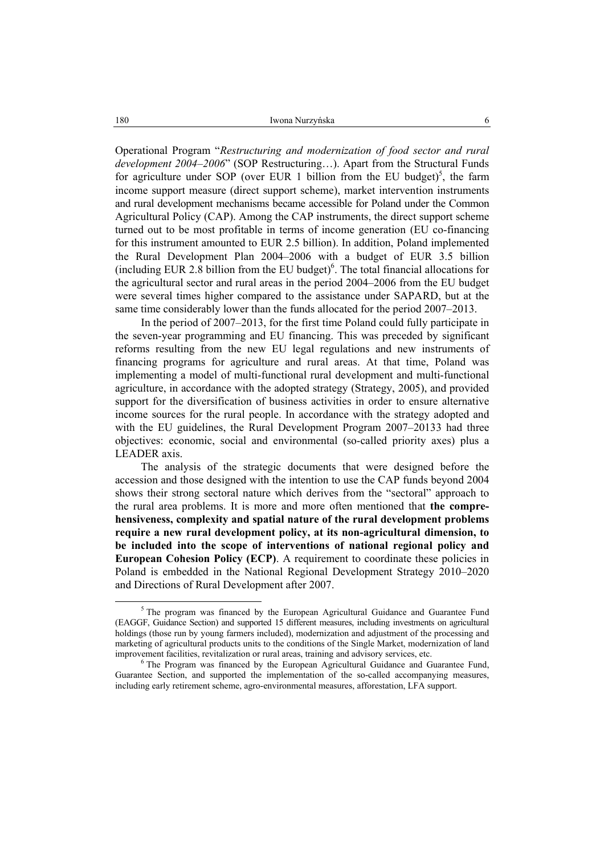Operational Program "*Restructuring and modernization of food sector and rural development 2004–2006*" (SOP Restructuring…). Apart from the Structural Funds for agriculture under SOP (over EUR 1 billion from the EU budget)<sup>5</sup>, the farm income support measure (direct support scheme), market intervention instruments and rural development mechanisms became accessible for Poland under the Common Agricultural Policy (CAP). Among the CAP instruments, the direct support scheme turned out to be most profitable in terms of income generation (EU co-financing for this instrument amounted to EUR 2.5 billion). In addition, Poland implemented the Rural Development Plan 2004–2006 with a budget of EUR 3.5 billion (including EUR 2.8 billion from the EU budget) $6$ . The total financial allocations for the agricultural sector and rural areas in the period 2004–2006 from the EU budget were several times higher compared to the assistance under SAPARD, but at the same time considerably lower than the funds allocated for the period 2007–2013.

In the period of 2007–2013, for the first time Poland could fully participate in the seven-year programming and EU financing. This was preceded by significant reforms resulting from the new EU legal regulations and new instruments of financing programs for agriculture and rural areas. At that time, Poland was implementing a model of multi-functional rural development and multi-functional agriculture, in accordance with the adopted strategy (Strategy, 2005), and provided support for the diversification of business activities in order to ensure alternative income sources for the rural people. In accordance with the strategy adopted and with the EU guidelines, the Rural Development Program 2007–20133 had three objectives: economic, social and environmental (so-called priority axes) plus a LEADER axis.

The analysis of the strategic documents that were designed before the accession and those designed with the intention to use the CAP funds beyond 2004 shows their strong sectoral nature which derives from the "sectoral" approach to the rural area problems. It is more and more often mentioned that **the comprehensiveness, complexity and spatial nature of the rural development problems require a new rural development policy, at its non-agricultural dimension, to be included into the scope of interventions of national regional policy and European Cohesion Policy (ECP)**. A requirement to coordinate these policies in Poland is embedded in the National Regional Development Strategy 2010–2020 and Directions of Rural Development after 2007.

 $\frac{1}{5}$  $5$  The program was financed by the European Agricultural Guidance and Guarantee Fund (EAGGF, Guidance Section) and supported 15 different measures, including investments on agricultural holdings (those run by young farmers included), modernization and adjustment of the processing and marketing of agricultural products units to the conditions of the Single Market, modernization of land improvement facilities, revitalization or rural areas, training and advisory services, etc. 6

<sup>&</sup>lt;sup>6</sup> The Program was financed by the European Agricultural Guidance and Guarantee Fund, Guarantee Section, and supported the implementation of the so-called accompanying measures, including early retirement scheme, agro-environmental measures, afforestation, LFA support.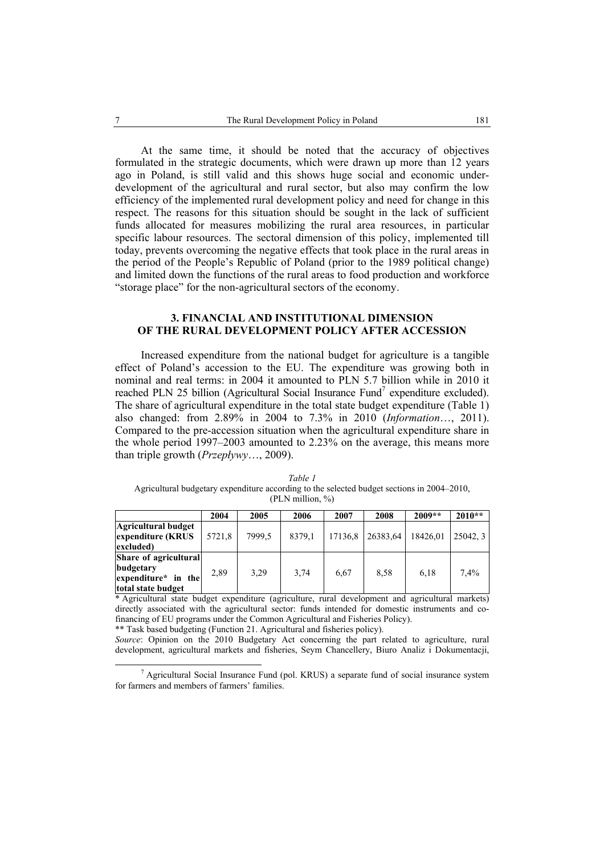At the same time, it should be noted that the accuracy of objectives formulated in the strategic documents, which were drawn up more than 12 years ago in Poland, is still valid and this shows huge social and economic underdevelopment of the agricultural and rural sector, but also may confirm the low efficiency of the implemented rural development policy and need for change in this respect. The reasons for this situation should be sought in the lack of sufficient funds allocated for measures mobilizing the rural area resources, in particular specific labour resources. The sectoral dimension of this policy, implemented till today, prevents overcoming the negative effects that took place in the rural areas in the period of the People's Republic of Poland (prior to the 1989 political change) and limited down the functions of the rural areas to food production and workforce "storage place" for the non-agricultural sectors of the economy.

### **3. FINANCIAL AND INSTITUTIONAL DIMENSION OF THE RURAL DEVELOPMENT POLICY AFTER ACCESSION**

Increased expenditure from the national budget for agriculture is a tangible effect of Poland's accession to the EU. The expenditure was growing both in nominal and real terms: in 2004 it amounted to PLN 5.7 billion while in 2010 it reached PLN 25 billion (Agricultural Social Insurance Fund<sup>7</sup> expenditure excluded). The share of agricultural expenditure in the total state budget expenditure (Table 1) also changed: from 2.89% in 2004 to 7.3% in 2010 (*Information*…, 2011). Compared to the pre-accession situation when the agricultural expenditure share in the whole period 1997–2003 amounted to 2.23% on the average, this means more than triple growth (*Przepływy*…, 2009).

*Table 1*  Agricultural budgetary expenditure according to the selected budget sections in 2004–2010, (PLN million, %)

|                                                                                 | 2004   | 2005   | 2006   | 2007    | 2008     | $2009**$ | $2010**$ |
|---------------------------------------------------------------------------------|--------|--------|--------|---------|----------|----------|----------|
| Agricultural budget<br>expenditure (KRUS<br>excluded)                           | 5721,8 | 7999.5 | 8379,1 | 17136,8 | 26383.64 | 18426.01 | 25042.3  |
| Share of agricultural<br>budgetary<br>expenditure* in the<br>total state budget | 2.89   | 3.29   | 3,74   | 6.67    | 8.58     | 6.18     | 7.4%     |

\* Agricultural state budget expenditure (agriculture, rural development and agricultural markets) directly associated with the agricultural sector: funds intended for domestic instruments and cofinancing of EU programs under the Common Agricultural and Fisheries Policy).

\*\* Task based budgeting (Function 21. Agricultural and fisheries policy).

*Source*: Opinion on the 2010 Budgetary Act concerning the part related to agriculture, rural development, agricultural markets and fisheries, Seym Chancellery, Biuro Analiz i Dokumentacji,

 $\overline{7}$ <sup>7</sup> Agricultural Social Insurance Fund (pol. KRUS) a separate fund of social insurance system for farmers and members of farmers' families.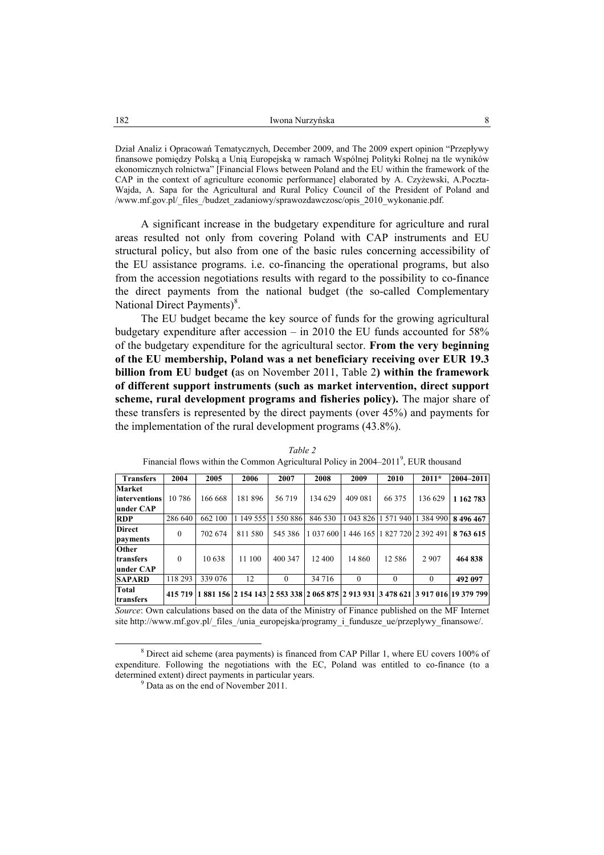Dział Analiz i Opracowań Tematycznych, December 2009, and The 2009 expert opinion "Przepływy finansowe pomiędzy Polską a Unią Europejską w ramach Wspólnej Polityki Rolnej na tle wyników ekonomicznych rolnictwa" [Financial Flows between Poland and the EU within the framework of the CAP in the context of agriculture economic performance] elaborated by A. Czyżewski, A.Poczta-Wajda, A. Sapa for the Agricultural and Rural Policy Council of the President of Poland and /www.mf.gov.pl/\_files\_/budzet\_zadaniowy/sprawozdawczosc/opis\_2010\_wykonanie.pdf.

A significant increase in the budgetary expenditure for agriculture and rural areas resulted not only from covering Poland with CAP instruments and EU structural policy, but also from one of the basic rules concerning accessibility of the EU assistance programs. i.e. co-financing the operational programs, but also from the accession negotiations results with regard to the possibility to co-finance the direct payments from the national budget (the so-called Complementary National Direct Payments)<sup>8</sup>.

The EU budget became the key source of funds for the growing agricultural budgetary expenditure after accession – in 2010 the EU funds accounted for 58% of the budgetary expenditure for the agricultural sector. **From the very beginning of the EU membership, Poland was a net beneficiary receiving over EUR 19.3 billion from EU budget (**as on November 2011, Table 2**) within the framework of different support instruments (such as market intervention, direct support scheme, rural development programs and fisheries policy).** The major share of these transfers is represented by the direct payments (over 45%) and payments for the implementation of the rural development programs (43.8%).

| <b>Transfers</b>                | 2004     | 2005    | 2006   | 2007                | 2008    | 2009                                    | 2010     | $2011*$                       | $ 2004 - 2011 $                                                                  |
|---------------------------------|----------|---------|--------|---------------------|---------|-----------------------------------------|----------|-------------------------------|----------------------------------------------------------------------------------|
| <b>Market</b>                   |          |         |        |                     |         |                                         |          |                               |                                                                                  |
| interventions                   | 10786    | 166 668 | 181896 | 56719               | 134 629 | 409 081                                 | 66 375   | 136 629                       | 1 1 6 2 7 8 3                                                                    |
| under CAP                       |          |         |        |                     |         |                                         |          |                               |                                                                                  |
| <b>RDP</b>                      | 286 640  | 662 100 |        | 1 149 555 1 550 886 | 846 530 |                                         |          | 1 043 826 1 571 940 1 384 990 | 8496467                                                                          |
| <b>Direct</b>                   | $\theta$ | 702 674 | 811580 | 545 386             |         | 1 037 600 1 446 165 1 827 720 2 392 491 |          |                               | 8 763 615                                                                        |
| payments                        |          |         |        |                     |         |                                         |          |                               |                                                                                  |
| Other<br>transfers<br>under CAP | $\Omega$ | 10 638  | 11 100 | 400 347             | 12 400  | 14 860                                  | 12 5 8 6 | 2 9 0 7                       | 464 838                                                                          |
| <b>SAPARD</b>                   | 118 293  | 339 076 | 12     | $\theta$            | 34 716  | $\theta$                                | $\theta$ | $\Omega$                      | 492 097                                                                          |
| <b>Total</b><br>transfers       | 415 719  |         |        |                     |         |                                         |          |                               | 1 881 156 2 154 143 2 553 338 2 065 875 2 913 931 3 478 621 3 917 016 19 379 799 |

*Table 2*  Financial flows within the Common Agricultural Policy in  $2004-2011^9$ , EUR thousand

*Source*: Own calculations based on the data of the Ministry of Finance published on the MF Internet site http://www.mf.gov.pl/\_files\_/unia\_europejska/programy\_i\_fundusze\_ue/przeplywy\_finansowe/.

 $\frac{8}{3}$  Direct aid scheme (area payments) is financed from CAP Pillar 1, where EU covers 100% of expenditure. Following the negotiations with the EC, Poland was entitled to co-finance (to a determined extent) direct payments in particular years.

 $<sup>9</sup>$  Data as on the end of November 2011.</sup>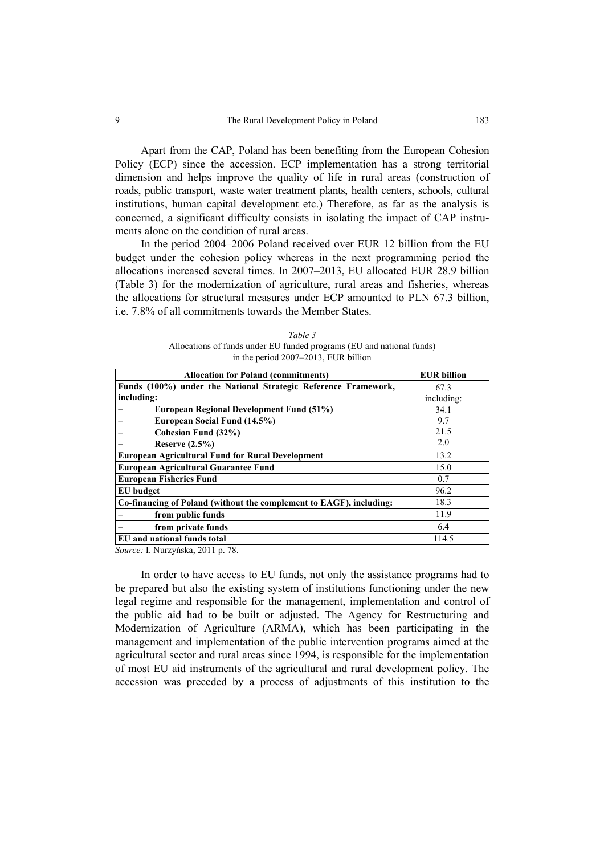Apart from the CAP, Poland has been benefiting from the European Cohesion Policy (ECP) since the accession. ECP implementation has a strong territorial dimension and helps improve the quality of life in rural areas (construction of roads, public transport, waste water treatment plants, health centers, schools, cultural institutions, human capital development etc.) Therefore, as far as the analysis is concerned, a significant difficulty consists in isolating the impact of CAP instruments alone on the condition of rural areas.

In the period 2004–2006 Poland received over EUR 12 billion from the EU budget under the cohesion policy whereas in the next programming period the allocations increased several times. In 2007–2013, EU allocated EUR 28.9 billion (Table 3) for the modernization of agriculture, rural areas and fisheries, whereas the allocations for structural measures under ECP amounted to PLN 67.3 billion, i.e. 7.8% of all commitments towards the Member States.

| Table 3                                                               |
|-----------------------------------------------------------------------|
| Allocations of funds under EU funded programs (EU and national funds) |
| in the period 2007–2013, EUR billion                                  |

| <b>Allocation for Poland (commitments)</b>                          | <b>EUR billion</b> |
|---------------------------------------------------------------------|--------------------|
| Funds (100%) under the National Strategic Reference Framework,      | 67.3               |
| including:                                                          | including:         |
| European Regional Development Fund (51%)                            | 34.1               |
| European Social Fund (14.5%)                                        | 9.7                |
| Cohesion Fund (32%)                                                 | 21.5               |
| Reserve $(2.5\%)$                                                   | 2.0                |
| <b>European Agricultural Fund for Rural Development</b>             | 13.2               |
| <b>European Agricultural Guarantee Fund</b>                         | 15.0               |
| <b>European Fisheries Fund</b>                                      | 0.7                |
| EU budget                                                           | 96.2               |
| Co-financing of Poland (without the complement to EAGF), including: | 18.3               |
| from public funds                                                   | 11.9               |
| from private funds                                                  | 6.4                |
| EU and national funds total                                         | 114.5              |

*Source:* I. Nurzyńska, 2011 p. 78.

In order to have access to EU funds, not only the assistance programs had to be prepared but also the existing system of institutions functioning under the new legal regime and responsible for the management, implementation and control of the public aid had to be built or adjusted. The Agency for Restructuring and Modernization of Agriculture (ARMA), which has been participating in the management and implementation of the public intervention programs aimed at the agricultural sector and rural areas since 1994, is responsible for the implementation of most EU aid instruments of the agricultural and rural development policy. The accession was preceded by a process of adjustments of this institution to the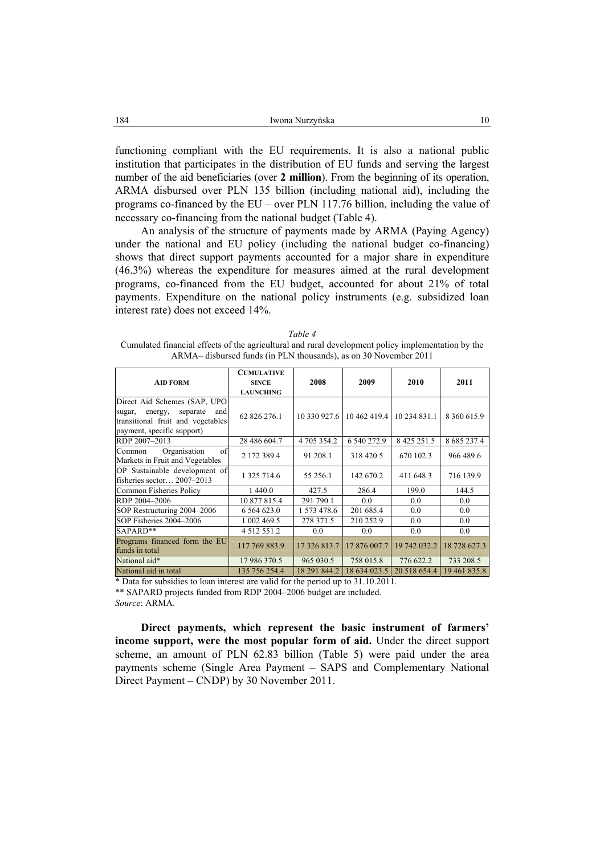functioning compliant with the EU requirements. It is also a national public institution that participates in the distribution of EU funds and serving the largest number of the aid beneficiaries (over **2 million**). From the beginning of its operation, ARMA disbursed over PLN 135 billion (including national aid), including the programs co-financed by the EU – over PLN 117.76 billion, including the value of necessary co-financing from the national budget (Table 4).

An analysis of the structure of payments made by ARMA (Paying Agency) under the national and EU policy (including the national budget co-financing) shows that direct support payments accounted for a major share in expenditure (46.3%) whereas the expenditure for measures aimed at the rural development programs, co-financed from the EU budget, accounted for about 21% of total payments. Expenditure on the national policy instruments (e.g. subsidized loan interest rate) does not exceed 14%.

| Table 4                                                                                            |
|----------------------------------------------------------------------------------------------------|
| Cumulated financial effects of the agricultural and rural development policy implementation by the |
| ARMA- disbursed funds (in PLN thousands), as on 30 November 2011                                   |

| <b>AID FORM</b>                                                                                                                         | <b>CUMULATIVE</b><br><b>SINCE</b><br><b>LAUNCHING</b> | 2008         | 2009                        | 2010              | 2011              |
|-----------------------------------------------------------------------------------------------------------------------------------------|-------------------------------------------------------|--------------|-----------------------------|-------------------|-------------------|
| Direct Aid Schemes (SAP, UPO<br>separate<br>and<br>energy,<br>sugar,<br>transitional fruit and vegetables<br>payment, specific support) | 62 826 276.1                                          |              | 10 330 927.6   10 462 419.4 | 10 234 831.1      | 8 360 615.9       |
| RDP 2007-2013                                                                                                                           | 28 486 604.7                                          | 4 705 354.2  | 6 540 272.9                 | 8 4 2 5 2 5 1 . 5 | 8 6 8 5 2 3 7 . 4 |
| Organisation<br>of<br>Common<br>Markets in Fruit and Vegetables                                                                         | 2 172 389.4                                           | 91 208.1     | 318 420.5                   | 670 102.3         | 966 489.6         |
| OP Sustainable development of<br>fisheries sector $2007-2013$                                                                           | 1 325 714.6                                           | 55 256.1     | 142 670.2                   | 411 648.3         | 716 139.9         |
| Common Fisheries Policy                                                                                                                 | 1 440.0                                               | 427.5        | 286.4                       | 199.0             | 144.5             |
| RDP 2004-2006                                                                                                                           | 10 877 815.4                                          | 291 790.1    | 0.0                         | 0.0               | 0.0               |
| SOP Restructuring 2004–2006                                                                                                             | 6 5 6 4 6 2 3 .0                                      | 1 573 478.6  | 201 685.4                   | 0.0               | 0.0               |
| SOP Fisheries 2004-2006                                                                                                                 | 1 002 469.5                                           | 278 371.5    | 210 252.9                   | 0.0               | 0.0               |
| SAPARD**                                                                                                                                | 4 5 1 2 5 5 1 . 2                                     | 0.0          | 0.0                         | 0.0               | 0.0               |
| Programs financed form the EU<br>funds in total                                                                                         | 117 769 883.9                                         | 17 326 813.7 | 17 876 007.7                | 19 742 032.2      | 18 728 627.3      |
| National aid*                                                                                                                           | 17 986 370.5                                          | 965 030.5    | 758 015.8                   | 776 622.2         | 733 208.5         |
| National aid in total                                                                                                                   | 135 756 254.4                                         | 18 291 844.2 | 18 634 023.5                | 20 518 654.4      | 19 461 835.8      |

\* Data for subsidies to loan interest are valid for the period up to 31.10.2011.

\*\* SAPARD projects funded from RDP 2004–2006 budget are included.

*Source*: ARMA.

**Direct payments, which represent the basic instrument of farmers' income support, were the most popular form of aid.** Under the direct support scheme, an amount of PLN 62.83 billion (Table 5) were paid under the area payments scheme (Single Area Payment – SAPS and Complementary National Direct Payment – CNDP) by 30 November 2011.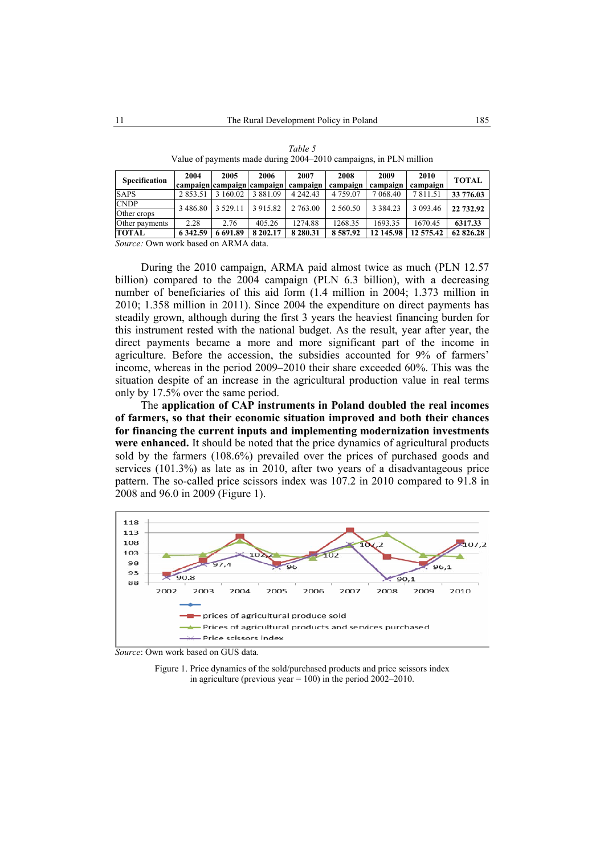| <b>Specification</b> | 2004          | 2005      | 2006<br>campaign campaign campaign | 2007<br>campaign | 2008<br>campaign | 2009<br>campaign | 2010<br>campaign | <b>TOTAL</b> |
|----------------------|---------------|-----------|------------------------------------|------------------|------------------|------------------|------------------|--------------|
| <b>SAPS</b>          | 2 8 5 3 . 5 1 | 3 160.02  | 3 8 8 1 .09                        | 4 2 4 2 . 4 3    | 4 7 5 9 0 7      | 7 068.40         | 7811.51          | 33 776.03    |
| <b>CNDP</b>          | 3486.80       | 3 5 29 11 | 3 9 1 5 .8 2                       | 2 763.00         | 2 5 6 0 .5 0     | 3 3 8 4 . 2 3    | 3 093.46         | 22 732.92    |
| Other crops          |               |           |                                    |                  |                  |                  |                  |              |
| Other payments       | 2.28          | 2.76      | 405.26                             | 1274.88          | 1268.35          | 1693.35          | 1670.45          | 6317.33      |
| <b>TOTAL</b>         | 6 3 4 2 . 5 9 | 6 691.89  | 8 202.17                           | 8 2 8 0 . 3 1    | 8587.92          | 12 145.98        | 12 575.42        | 62 826.28    |

*Table 5*  Value of payments made during 2004–2010 campaigns, in PLN million

*Source:* Own work based on ARMA data.

During the 2010 campaign, ARMA paid almost twice as much (PLN 12.57 billion) compared to the 2004 campaign (PLN 6.3 billion), with a decreasing number of beneficiaries of this aid form (1.4 million in 2004; 1.373 million in 2010; 1.358 million in 2011). Since 2004 the expenditure on direct payments has steadily grown, although during the first 3 years the heaviest financing burden for this instrument rested with the national budget. As the result, year after year, the direct payments became a more and more significant part of the income in agriculture. Before the accession, the subsidies accounted for 9% of farmers' income, whereas in the period 2009–2010 their share exceeded 60%. This was the situation despite of an increase in the agricultural production value in real terms only by 17.5% over the same period.

The **application of CAP instruments in Poland doubled the real incomes of farmers, so that their economic situation improved and both their chances for financing the current inputs and implementing modernization investments were enhanced.** It should be noted that the price dynamics of agricultural products sold by the farmers (108.6%) prevailed over the prices of purchased goods and services (101.3%) as late as in 2010, after two years of a disadvantageous price pattern. The so-called price scissors index was 107.2 in 2010 compared to 91.8 in 2008 and 96.0 in 2009 (Figure 1).



*Source*: Own work based on GUS data.

Figure 1. Price dynamics of the sold/purchased products and price scissors index in agriculture (previous year = 100) in the period  $2002-2010$ .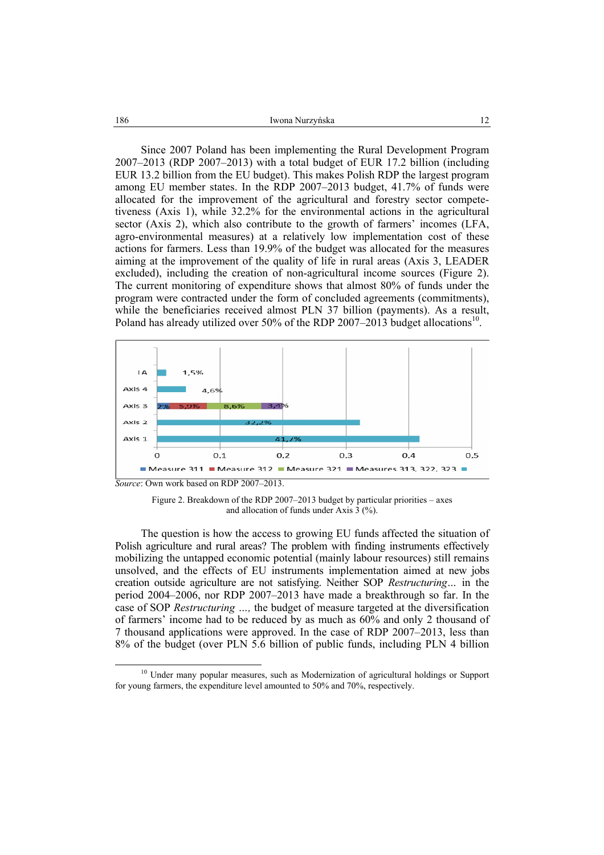| 186 | Iwona Nurzyńska |  |
|-----|-----------------|--|
|     |                 |  |

Since 2007 Poland has been implementing the Rural Development Program 2007–2013 (RDP 2007–2013) with a total budget of EUR 17.2 billion (including EUR 13.2 billion from the EU budget). This makes Polish RDP the largest program among EU member states. In the RDP 2007–2013 budget, 41.7% of funds were allocated for the improvement of the agricultural and forestry sector competetiveness (Axis 1), while 32.2% for the environmental actions in the agricultural sector (Axis 2), which also contribute to the growth of farmers' incomes (LFA, agro-environmental measures) at a relatively low implementation cost of these actions for farmers. Less than 19.9% of the budget was allocated for the measures aiming at the improvement of the quality of life in rural areas (Axis 3, LEADER excluded), including the creation of non-agricultural income sources (Figure 2). The current monitoring of expenditure shows that almost 80% of funds under the program were contracted under the form of concluded agreements (commitments), while the beneficiaries received almost PLN 37 billion (payments). As a result, Poland has already utilized over 50% of the RDP 2007–2013 budget allocations<sup>10</sup>.



Figure 2. Breakdown of the RDP 2007–2013 budget by particular priorities – axes and allocation of funds under Axis 3 (%).

The question is how the access to growing EU funds affected the situation of Polish agriculture and rural areas? The problem with finding instruments effectively mobilizing the untapped economic potential (mainly labour resources) still remains unsolved, and the effects of EU instruments implementation aimed at new jobs creation outside agriculture are not satisfying. Neither SOP *Restructuring…* in the period 2004–2006, nor RDP 2007–2013 have made a breakthrough so far. In the case of SOP *Restructuring …,* the budget of measure targeted at the diversification of farmers' income had to be reduced by as much as 60% and only 2 thousand of 7 thousand applications were approved. In the case of RDP 2007–2013, less than 8% of the budget (over PLN 5.6 billion of public funds, including PLN 4 billion

<sup>&</sup>lt;sup>10</sup> Under many popular measures, such as Modernization of agricultural holdings or Support for young farmers, the expenditure level amounted to 50% and 70%, respectively.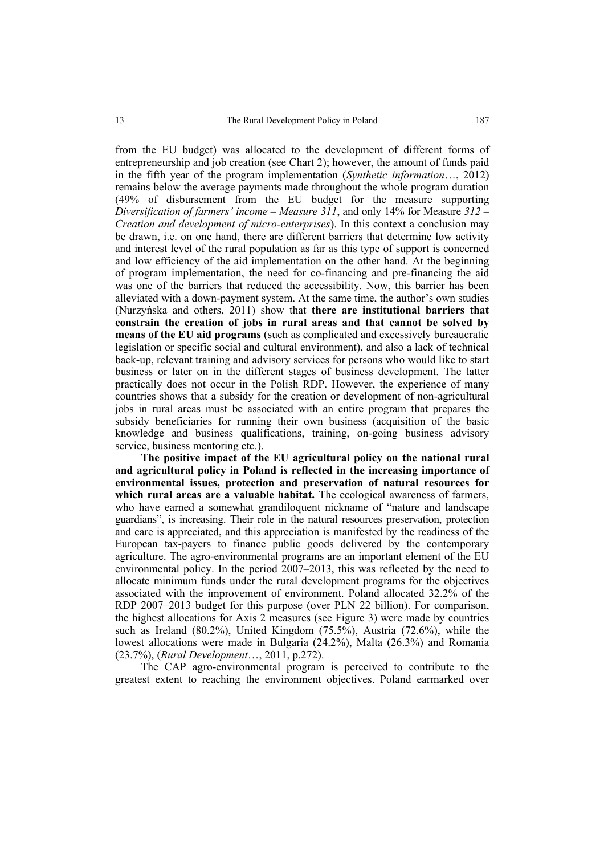from the EU budget) was allocated to the development of different forms of entrepreneurship and job creation (see Chart 2); however, the amount of funds paid in the fifth year of the program implementation (*Synthetic information*…, 2012) remains below the average payments made throughout the whole program duration (49% of disbursement from the EU budget for the measure supporting *Diversification of farmers' income – Measure 311*, and only 14% for Measure *312 – Creation and development of micro-enterprises*). In this context a conclusion may be drawn, i.e. on one hand, there are different barriers that determine low activity and interest level of the rural population as far as this type of support is concerned and low efficiency of the aid implementation on the other hand. At the beginning of program implementation, the need for co-financing and pre-financing the aid was one of the barriers that reduced the accessibility. Now, this barrier has been alleviated with a down-payment system. At the same time, the author's own studies (Nurzyńska and others, 2011) show that **there are institutional barriers that constrain the creation of jobs in rural areas and that cannot be solved by means of the EU aid programs** (such as complicated and excessively bureaucratic legislation or specific social and cultural environment), and also a lack of technical back-up, relevant training and advisory services for persons who would like to start business or later on in the different stages of business development. The latter practically does not occur in the Polish RDP. However, the experience of many countries shows that a subsidy for the creation or development of non-agricultural jobs in rural areas must be associated with an entire program that prepares the subsidy beneficiaries for running their own business (acquisition of the basic knowledge and business qualifications, training, on-going business advisory service, business mentoring etc.).

**The positive impact of the EU agricultural policy on the national rural and agricultural policy in Poland is reflected in the increasing importance of environmental issues, protection and preservation of natural resources for which rural areas are a valuable habitat.** The ecological awareness of farmers, who have earned a somewhat grandiloquent nickname of "nature and landscape guardians", is increasing. Their role in the natural resources preservation, protection and care is appreciated, and this appreciation is manifested by the readiness of the European tax-payers to finance public goods delivered by the contemporary agriculture. The agro-environmental programs are an important element of the EU environmental policy. In the period 2007–2013, this was reflected by the need to allocate minimum funds under the rural development programs for the objectives associated with the improvement of environment. Poland allocated 32.2% of the RDP 2007–2013 budget for this purpose (over PLN 22 billion). For comparison, the highest allocations for Axis 2 measures (see Figure 3) were made by countries such as Ireland (80.2%), United Kingdom (75.5%), Austria (72.6%), while the lowest allocations were made in Bulgaria (24.2%), Malta (26.3%) and Romania (23.7%), (*Rural Development*…, 2011, p.272).

The CAP agro-environmental program is perceived to contribute to the greatest extent to reaching the environment objectives. Poland earmarked over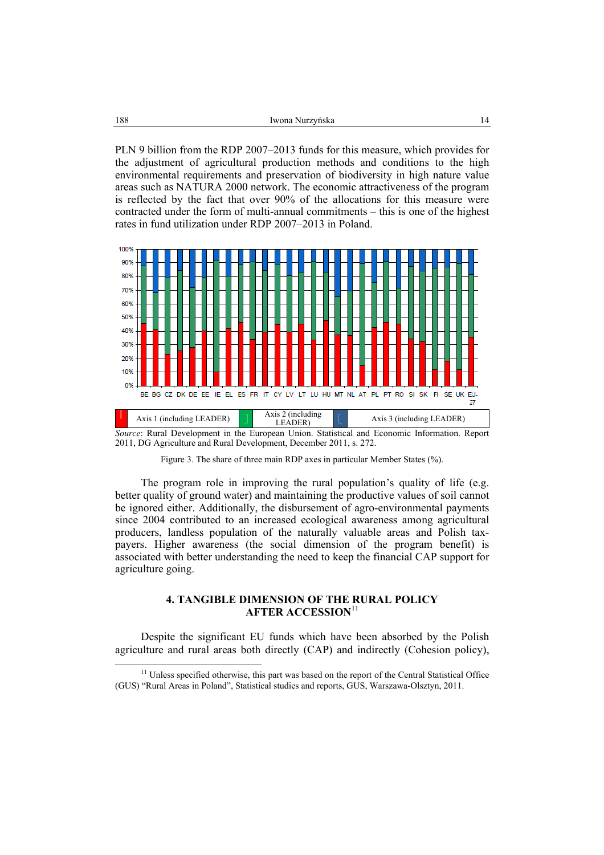PLN 9 billion from the RDP 2007–2013 funds for this measure, which provides for the adjustment of agricultural production methods and conditions to the high environmental requirements and preservation of biodiversity in high nature value areas such as NATURA 2000 network. The economic attractiveness of the program is reflected by the fact that over 90% of the allocations for this measure were contracted under the form of multi-annual commitments – this is one of the highest rates in fund utilization under RDP 2007–2013 in Poland.



*Source*: Rural Development in the European Union. Statistical and Economic Information. Report 2011, DG Agriculture and Rural Development, December 2011, s. 272.

Figure 3. The share of three main RDP axes in particular Member States (%).

The program role in improving the rural population's quality of life (e.g. better quality of ground water) and maintaining the productive values of soil cannot be ignored either. Additionally, the disbursement of agro-environmental payments since 2004 contributed to an increased ecological awareness among agricultural producers, landless population of the naturally valuable areas and Polish taxpayers. Higher awareness (the social dimension of the program benefit) is associated with better understanding the need to keep the financial CAP support for agriculture going.

### **4. TANGIBLE DIMENSION OF THE RURAL POLICY AFTER ACCESSION**<sup>11</sup>

Despite the significant EU funds which have been absorbed by the Polish agriculture and rural areas both directly (CAP) and indirectly (Cohesion policy),

<sup>&</sup>lt;sup>11</sup> Unless specified otherwise, this part was based on the report of the Central Statistical Office (GUS) "Rural Areas in Poland", Statistical studies and reports, GUS, Warszawa-Olsztyn, 2011.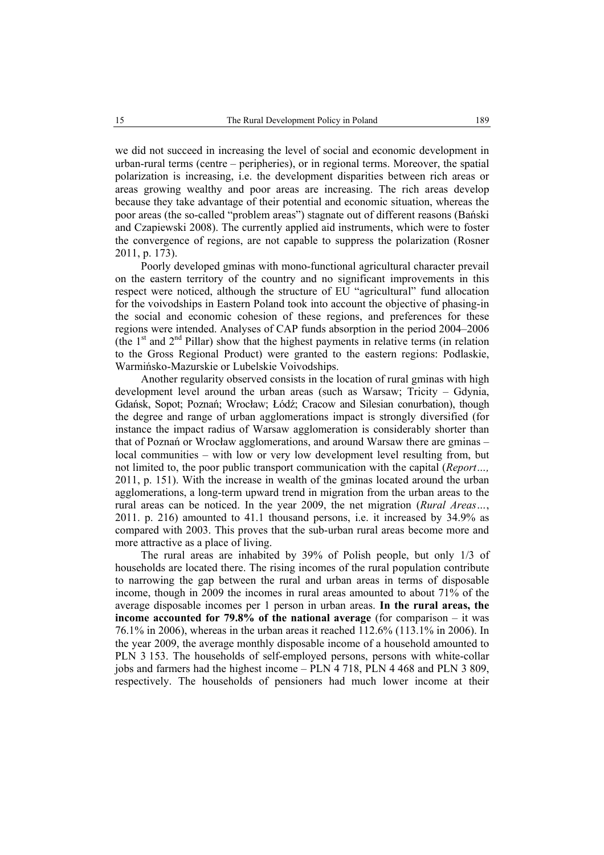we did not succeed in increasing the level of social and economic development in urban-rural terms (centre – peripheries), or in regional terms. Moreover, the spatial polarization is increasing, i.e. the development disparities between rich areas or areas growing wealthy and poor areas are increasing. The rich areas develop because they take advantage of their potential and economic situation, whereas the poor areas (the so-called "problem areas") stagnate out of different reasons (Bański and Czapiewski 2008). The currently applied aid instruments, which were to foster the convergence of regions, are not capable to suppress the polarization (Rosner 2011, p. 173).

Poorly developed gminas with mono-functional agricultural character prevail on the eastern territory of the country and no significant improvements in this respect were noticed, although the structure of EU "agricultural" fund allocation for the voivodships in Eastern Poland took into account the objective of phasing-in the social and economic cohesion of these regions, and preferences for these regions were intended. Analyses of CAP funds absorption in the period 2004–2006 (the  $1<sup>st</sup>$  and  $2<sup>nd</sup>$  Pillar) show that the highest payments in relative terms (in relation to the Gross Regional Product) were granted to the eastern regions: Podlaskie, Warmińsko-Mazurskie or Lubelskie Voivodships.

Another regularity observed consists in the location of rural gminas with high development level around the urban areas (such as Warsaw; Tricity – Gdynia, Gdańsk, Sopot; Poznań; Wrocław; Łódź; Cracow and Silesian conurbation), though the degree and range of urban agglomerations impact is strongly diversified (for instance the impact radius of Warsaw agglomeration is considerably shorter than that of Poznań or Wrocław agglomerations, and around Warsaw there are gminas – local communities – with low or very low development level resulting from, but not limited to, the poor public transport communication with the capital (*Report…,* 2011, p. 151). With the increase in wealth of the gminas located around the urban agglomerations, a long-term upward trend in migration from the urban areas to the rural areas can be noticed. In the year 2009, the net migration (*Rural Areas…*, 2011. p. 216) amounted to 41.1 thousand persons, i.e. it increased by 34.9% as compared with 2003. This proves that the sub-urban rural areas become more and more attractive as a place of living.

The rural areas are inhabited by 39% of Polish people, but only 1/3 of households are located there. The rising incomes of the rural population contribute to narrowing the gap between the rural and urban areas in terms of disposable income, though in 2009 the incomes in rural areas amounted to about 71% of the average disposable incomes per 1 person in urban areas. **In the rural areas, the income accounted for 79.8% of the national average** (for comparison – it was 76.1% in 2006), whereas in the urban areas it reached 112.6% (113.1% in 2006). In the year 2009, the average monthly disposable income of a household amounted to PLN 3 153. The households of self-employed persons, persons with white-collar jobs and farmers had the highest income – PLN 4 718, PLN 4 468 and PLN 3 809, respectively. The households of pensioners had much lower income at their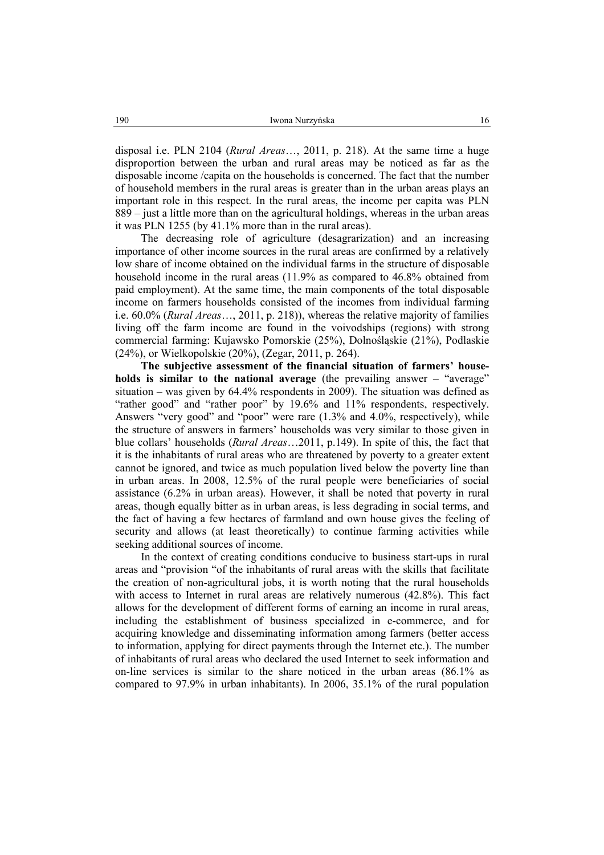disposal i.e. PLN 2104 (*Rural Areas*…, 2011, p. 218). At the same time a huge disproportion between the urban and rural areas may be noticed as far as the disposable income /capita on the households is concerned. The fact that the number of household members in the rural areas is greater than in the urban areas plays an important role in this respect. In the rural areas, the income per capita was PLN 889 – just a little more than on the agricultural holdings, whereas in the urban areas it was PLN 1255 (by 41.1% more than in the rural areas).

The decreasing role of agriculture (desagrarization) and an increasing importance of other income sources in the rural areas are confirmed by a relatively low share of income obtained on the individual farms in the structure of disposable household income in the rural areas (11.9% as compared to 46.8% obtained from paid employment). At the same time, the main components of the total disposable income on farmers households consisted of the incomes from individual farming i.e. 60.0% (*Rural Areas*…, 2011, p. 218)), whereas the relative majority of families living off the farm income are found in the voivodships (regions) with strong commercial farming: Kujawsko Pomorskie (25%), Dolnośląskie (21%), Podlaskie (24%), or Wielkopolskie (20%), (Zegar, 2011, p. 264).

**The subjective assessment of the financial situation of farmers' households is similar to the national average** (the prevailing answer – "average" situation – was given by 64.4% respondents in 2009). The situation was defined as "rather good" and "rather poor" by 19.6% and 11% respondents, respectively. Answers "very good" and "poor" were rare (1.3% and 4.0%, respectively), while the structure of answers in farmers' households was very similar to those given in blue collars' households (*Rural Areas*…2011, p.149). In spite of this, the fact that it is the inhabitants of rural areas who are threatened by poverty to a greater extent cannot be ignored, and twice as much population lived below the poverty line than in urban areas. In 2008, 12.5% of the rural people were beneficiaries of social assistance (6.2% in urban areas). However, it shall be noted that poverty in rural areas, though equally bitter as in urban areas, is less degrading in social terms, and the fact of having a few hectares of farmland and own house gives the feeling of security and allows (at least theoretically) to continue farming activities while seeking additional sources of income.

In the context of creating conditions conducive to business start-ups in rural areas and "provision "of the inhabitants of rural areas with the skills that facilitate the creation of non-agricultural jobs, it is worth noting that the rural households with access to Internet in rural areas are relatively numerous (42.8%). This fact allows for the development of different forms of earning an income in rural areas, including the establishment of business specialized in e-commerce, and for acquiring knowledge and disseminating information among farmers (better access to information, applying for direct payments through the Internet etc.). The number of inhabitants of rural areas who declared the used Internet to seek information and on-line services is similar to the share noticed in the urban areas (86.1% as compared to 97.9% in urban inhabitants). In 2006, 35.1% of the rural population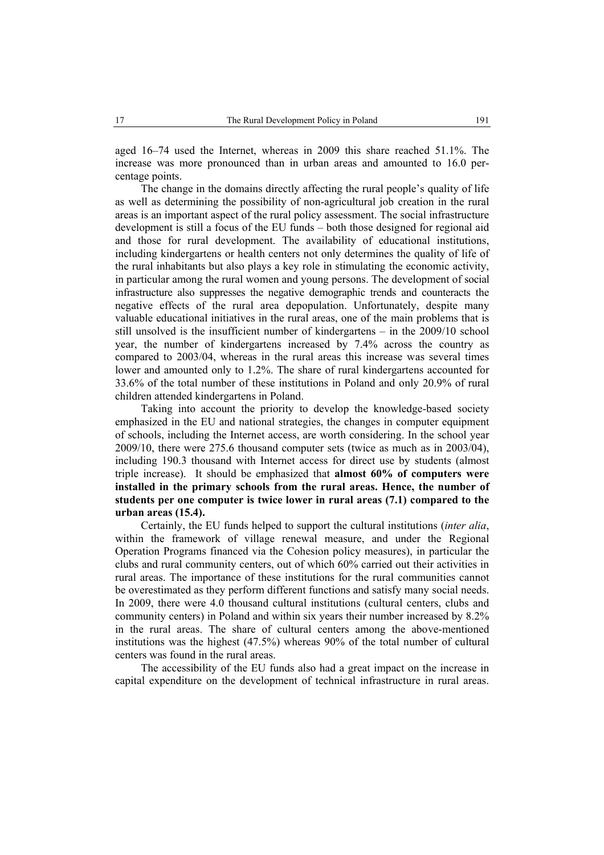aged 16–74 used the Internet, whereas in 2009 this share reached 51.1%. The increase was more pronounced than in urban areas and amounted to 16.0 percentage points.

The change in the domains directly affecting the rural people's quality of life as well as determining the possibility of non-agricultural job creation in the rural areas is an important aspect of the rural policy assessment. The social infrastructure development is still a focus of the EU funds – both those designed for regional aid and those for rural development. The availability of educational institutions, including kindergartens or health centers not only determines the quality of life of the rural inhabitants but also plays a key role in stimulating the economic activity, in particular among the rural women and young persons. The development of social infrastructure also suppresses the negative demographic trends and counteracts the negative effects of the rural area depopulation. Unfortunately, despite many valuable educational initiatives in the rural areas, one of the main problems that is still unsolved is the insufficient number of kindergartens – in the 2009/10 school year, the number of kindergartens increased by 7.4% across the country as compared to 2003/04, whereas in the rural areas this increase was several times lower and amounted only to 1.2%. The share of rural kindergartens accounted for 33.6% of the total number of these institutions in Poland and only 20.9% of rural children attended kindergartens in Poland.

Taking into account the priority to develop the knowledge-based society emphasized in the EU and national strategies, the changes in computer equipment of schools, including the Internet access, are worth considering. In the school year 2009/10, there were 275.6 thousand computer sets (twice as much as in 2003/04), including 190.3 thousand with Internet access for direct use by students (almost triple increase). It should be emphasized that **almost 60% of computers were installed in the primary schools from the rural areas. Hence, the number of students per one computer is twice lower in rural areas (7.1) compared to the urban areas (15.4).**

Certainly, the EU funds helped to support the cultural institutions (*inter alia*, within the framework of village renewal measure, and under the Regional Operation Programs financed via the Cohesion policy measures), in particular the clubs and rural community centers, out of which 60% carried out their activities in rural areas. The importance of these institutions for the rural communities cannot be overestimated as they perform different functions and satisfy many social needs. In 2009, there were 4.0 thousand cultural institutions (cultural centers, clubs and community centers) in Poland and within six years their number increased by 8.2% in the rural areas. The share of cultural centers among the above-mentioned institutions was the highest (47.5%) whereas 90% of the total number of cultural centers was found in the rural areas.

The accessibility of the EU funds also had a great impact on the increase in capital expenditure on the development of technical infrastructure in rural areas.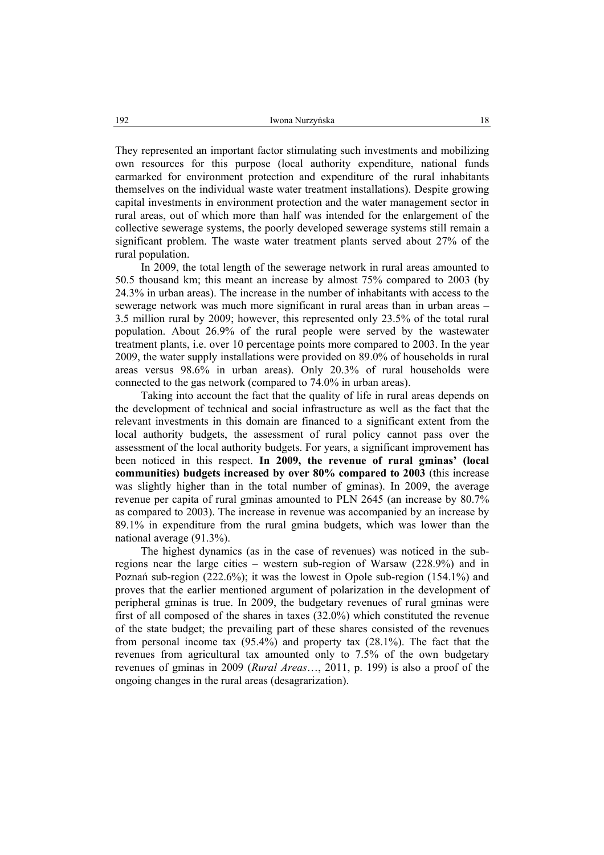They represented an important factor stimulating such investments and mobilizing own resources for this purpose (local authority expenditure, national funds earmarked for environment protection and expenditure of the rural inhabitants themselves on the individual waste water treatment installations). Despite growing capital investments in environment protection and the water management sector in rural areas, out of which more than half was intended for the enlargement of the collective sewerage systems, the poorly developed sewerage systems still remain a significant problem. The waste water treatment plants served about 27% of the rural population.

In 2009, the total length of the sewerage network in rural areas amounted to 50.5 thousand km; this meant an increase by almost 75% compared to 2003 (by 24.3% in urban areas). The increase in the number of inhabitants with access to the sewerage network was much more significant in rural areas than in urban areas – 3.5 million rural by 2009; however, this represented only 23.5% of the total rural population. About 26.9% of the rural people were served by the wastewater treatment plants, i.e. over 10 percentage points more compared to 2003. In the year 2009, the water supply installations were provided on 89.0% of households in rural areas versus 98.6% in urban areas). Only 20.3% of rural households were connected to the gas network (compared to 74.0% in urban areas).

Taking into account the fact that the quality of life in rural areas depends on the development of technical and social infrastructure as well as the fact that the relevant investments in this domain are financed to a significant extent from the local authority budgets, the assessment of rural policy cannot pass over the assessment of the local authority budgets. For years, a significant improvement has been noticed in this respect. **In 2009, the revenue of rural gminas' (local communities) budgets increased by over 80% compared to 2003** (this increase was slightly higher than in the total number of gminas). In 2009, the average revenue per capita of rural gminas amounted to PLN 2645 (an increase by 80.7% as compared to 2003). The increase in revenue was accompanied by an increase by 89.1% in expenditure from the rural gmina budgets, which was lower than the national average (91.3%).

The highest dynamics (as in the case of revenues) was noticed in the subregions near the large cities – western sub-region of Warsaw (228.9%) and in Poznań sub-region (222.6%); it was the lowest in Opole sub-region (154.1%) and proves that the earlier mentioned argument of polarization in the development of peripheral gminas is true. In 2009, the budgetary revenues of rural gminas were first of all composed of the shares in taxes (32.0%) which constituted the revenue of the state budget; the prevailing part of these shares consisted of the revenues from personal income tax (95.4%) and property tax (28.1%). The fact that the revenues from agricultural tax amounted only to 7.5% of the own budgetary revenues of gminas in 2009 (*Rural Areas*…, 2011, p. 199) is also a proof of the ongoing changes in the rural areas (desagrarization).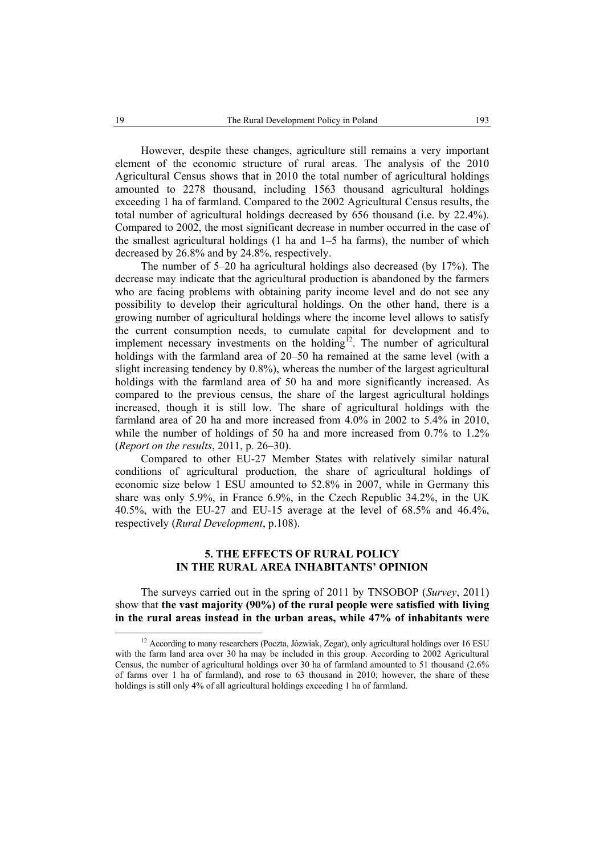However, despite these changes, agriculture still remains a very important element of the economic structure of rural areas. The analysis of the 2010 Agricultural Census shows that in 2010 the total number of agricultural holdings amounted to 2278 thousand, including 1563 thousand agricultural holdings exceeding 1 ha of farmland. Compared to the 2002 Agricultural Census results, the total number of agricultural holdings decreased by 656 thousand (i.e. by 22.4%). Compared to 2002, the most significant decrease in number occurred in the case of the smallest agricultural holdings (1 ha and 1–5 ha farms), the number of which decreased by 26.8% and by 24.8%, respectively.

The number of 5–20 ha agricultural holdings also decreased (by 17%). The decrease may indicate that the agricultural production is abandoned by the farmers who are facing problems with obtaining parity income level and do not see any possibility to develop their agricultural holdings. On the other hand, there is a growing number of agricultural holdings where the income level allows to satisfy the current consumption needs, to cumulate capital for development and to implement necessary investments on the holding<sup>12</sup>. The number of agricultural holdings with the farmland area of 20–50 ha remained at the same level (with a slight increasing tendency by 0.8%), whereas the number of the largest agricultural holdings with the farmland area of 50 ha and more significantly increased. As compared to the previous census, the share of the largest agricultural holdings increased, though it is still low. The share of agricultural holdings with the farmland area of 20 ha and more increased from 4.0% in 2002 to 5.4% in 2010, while the number of holdings of 50 ha and more increased from 0.7% to 1.2% (*Report on the results*, 2011, p. 26–30).

Compared to other EU-27 Member States with relatively similar natural conditions of agricultural production, the share of agricultural holdings of economic size below 1 ESU amounted to 52.8% in 2007, while in Germany this share was only 5.9%, in France 6.9%, in the Czech Republic 34.2%, in the UK 40.5%, with the EU-27 and EU-15 average at the level of 68.5% and 46.4%, respectively (*Rural Development*, p.108).

# **5. THE EFFECTS OF RURAL POLICY IN THE RURAL AREA INHABITANTS' OPINION**

The surveys carried out in the spring of 2011 by TNSOBOP (*Survey*, 2011) show that **the vast majority (90%) of the rural people were satisfied with living in the rural areas instead in the urban areas, while 47% of inhabitants were** 

<sup>&</sup>lt;sup>12</sup> According to many researchers (Poczta, Józwiak, Zegar), only agricultural holdings over 16 ESU with the farm land area over 30 ha may be included in this group. According to 2002 Agricultural Census, the number of agricultural holdings over 30 ha of farmland amounted to 51 thousand (2.6% of farms over 1 ha of farmland), and rose to 63 thousand in 2010; however, the share of these holdings is still only 4% of all agricultural holdings exceeding 1 ha of farmland.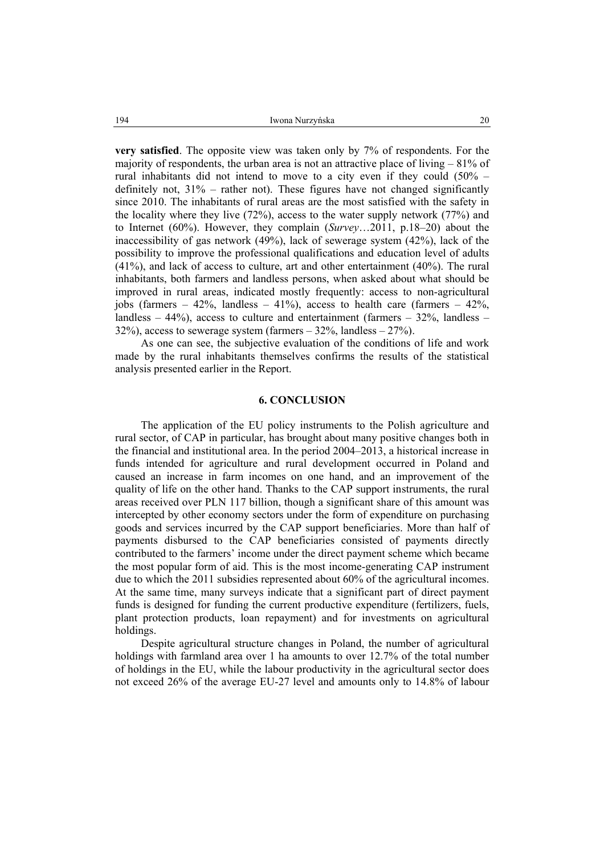**very satisfied**. The opposite view was taken only by 7% of respondents. For the majority of respondents, the urban area is not an attractive place of living – 81% of rural inhabitants did not intend to move to a city even if they could  $(50\%$ definitely not, 31% – rather not). These figures have not changed significantly since 2010. The inhabitants of rural areas are the most satisfied with the safety in the locality where they live (72%), access to the water supply network (77%) and to Internet (60%). However, they complain (*Survey*…2011, p.18–20) about the inaccessibility of gas network (49%), lack of sewerage system (42%), lack of the possibility to improve the professional qualifications and education level of adults (41%), and lack of access to culture, art and other entertainment (40%). The rural inhabitants, both farmers and landless persons, when asked about what should be improved in rural areas, indicated mostly frequently: access to non-agricultural jobs (farmers  $-42\%$ , landless  $-41\%$ ), access to health care (farmers  $-42\%$ , landless –  $44\%$ ), access to culture and entertainment (farmers –  $32\%$ , landless – 32%), access to sewerage system (farmers  $-$  32%, landless  $-$  27%).

As one can see, the subjective evaluation of the conditions of life and work made by the rural inhabitants themselves confirms the results of the statistical analysis presented earlier in the Report.

# **6. CONCLUSION**

The application of the EU policy instruments to the Polish agriculture and rural sector, of CAP in particular, has brought about many positive changes both in the financial and institutional area. In the period 2004–2013, a historical increase in funds intended for agriculture and rural development occurred in Poland and caused an increase in farm incomes on one hand, and an improvement of the quality of life on the other hand. Thanks to the CAP support instruments, the rural areas received over PLN 117 billion, though a significant share of this amount was intercepted by other economy sectors under the form of expenditure on purchasing goods and services incurred by the CAP support beneficiaries. More than half of payments disbursed to the CAP beneficiaries consisted of payments directly contributed to the farmers' income under the direct payment scheme which became the most popular form of aid. This is the most income-generating CAP instrument due to which the 2011 subsidies represented about 60% of the agricultural incomes. At the same time, many surveys indicate that a significant part of direct payment funds is designed for funding the current productive expenditure (fertilizers, fuels, plant protection products, loan repayment) and for investments on agricultural holdings.

Despite agricultural structure changes in Poland, the number of agricultural holdings with farmland area over 1 ha amounts to over 12.7% of the total number of holdings in the EU, while the labour productivity in the agricultural sector does not exceed 26% of the average EU-27 level and amounts only to 14.8% of labour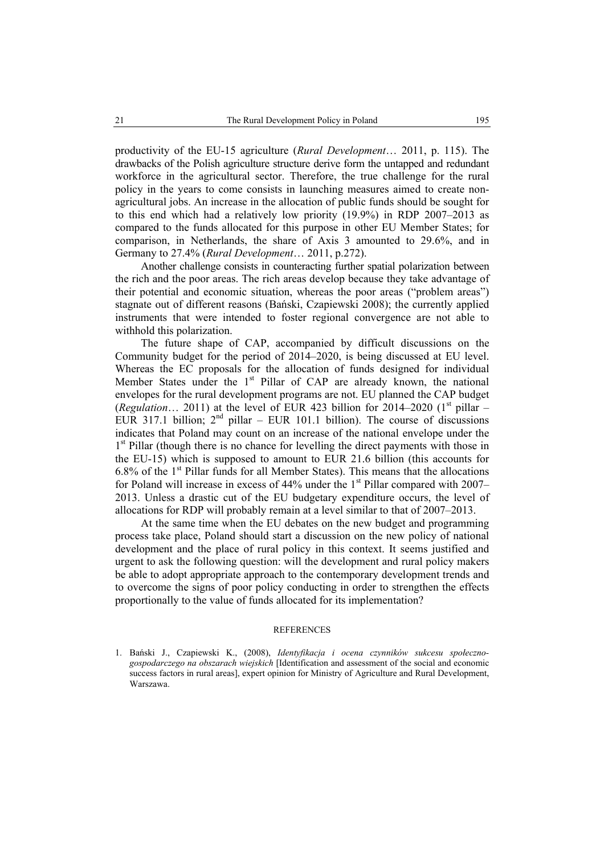productivity of the EU-15 agriculture (*Rural Development*… 2011, p. 115). The drawbacks of the Polish agriculture structure derive form the untapped and redundant workforce in the agricultural sector. Therefore, the true challenge for the rural policy in the years to come consists in launching measures aimed to create nonagricultural jobs. An increase in the allocation of public funds should be sought for to this end which had a relatively low priority (19.9%) in RDP 2007–2013 as compared to the funds allocated for this purpose in other EU Member States; for comparison, in Netherlands, the share of Axis 3 amounted to 29.6%, and in Germany to 27.4% (*Rural Development*… 2011, p.272).

Another challenge consists in counteracting further spatial polarization between the rich and the poor areas. The rich areas develop because they take advantage of their potential and economic situation, whereas the poor areas ("problem areas") stagnate out of different reasons (Bański, Czapiewski 2008); the currently applied instruments that were intended to foster regional convergence are not able to withhold this polarization.

The future shape of CAP, accompanied by difficult discussions on the Community budget for the period of 2014–2020, is being discussed at EU level. Whereas the EC proposals for the allocation of funds designed for individual Member States under the  $1<sup>st</sup>$  Pillar of CAP are already known, the national envelopes for the rural development programs are not. EU planned the CAP budget (*Regulation*... 2011) at the level of EUR 423 billion for 2014–2020 ( $1<sup>st</sup>$  pillar – EUR 317.1 billion;  $2^{nd}$  pillar – EUR 101.1 billion). The course of discussions indicates that Poland may count on an increase of the national envelope under the 1<sup>st</sup> Pillar (though there is no chance for levelling the direct payments with those in the EU-15) which is supposed to amount to EUR 21.6 billion (this accounts for 6.8% of the  $1<sup>st</sup>$  Pillar funds for all Member States). This means that the allocations for Poland will increase in excess of  $44\%$  under the 1<sup>st</sup> Pillar compared with 2007– 2013. Unless a drastic cut of the EU budgetary expenditure occurs, the level of allocations for RDP will probably remain at a level similar to that of 2007–2013.

At the same time when the EU debates on the new budget and programming process take place, Poland should start a discussion on the new policy of national development and the place of rural policy in this context. It seems justified and urgent to ask the following question: will the development and rural policy makers be able to adopt appropriate approach to the contemporary development trends and to overcome the signs of poor policy conducting in order to strengthen the effects proportionally to the value of funds allocated for its implementation?

### **REFERENCES**

1. Bański J., Czapiewski K., (2008), *Identyfikacja i ocena czynników sukcesu społecznogospodarczego na obszarach wiejskich* [Identification and assessment of the social and economic success factors in rural areas], expert opinion for Ministry of Agriculture and Rural Development, Warszawa.